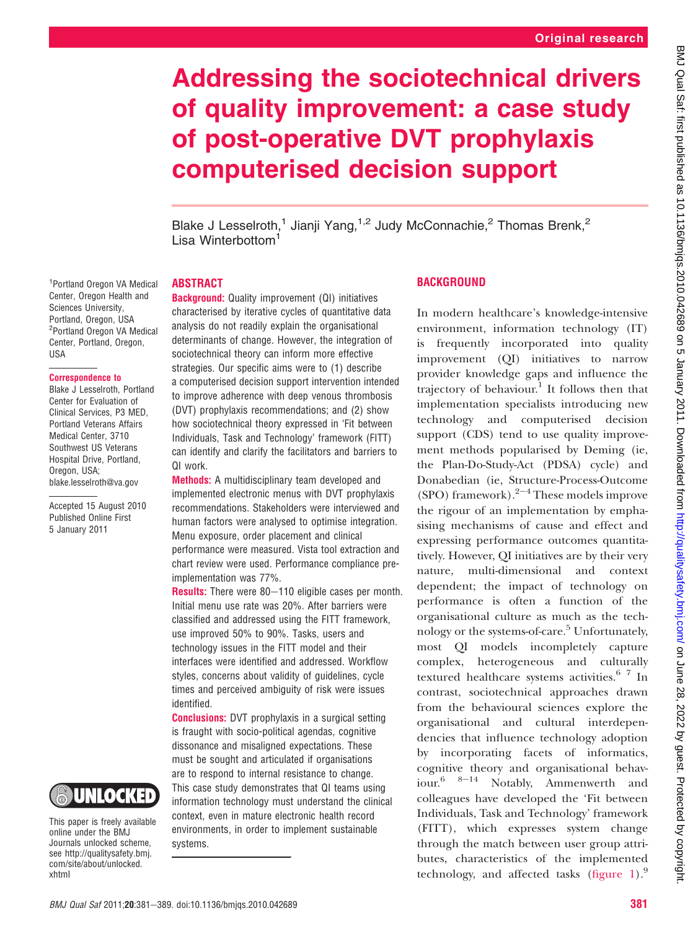# Addressing the sociotechnical drivers of quality improvement: a case study of post-operative DVT prophylaxis computerised decision support

Blake J Lesselroth,<sup>1</sup> Jianji Yang,<sup>1,2</sup> Judy McConnachie,<sup>2</sup> Thomas Brenk,<sup>2</sup> Lisa Winterbottom<sup>1</sup>

#### ABSTRACT

1 Portland Oregon VA Medical Center, Oregon Health and Sciences University, Portland, Oregon, USA <sup>2</sup>Portland Oregon VA Medical Center, Portland, Oregon, USA

#### Correspondence to

Blake J Lesselroth, Portland Center for Evaluation of Clinical Services, P3 MED, Portland Veterans Affairs Medical Center, 3710 Southwest US Veterans Hospital Drive, Portland, Oregon, USA; blake.lesselroth@va.gov

Accepted 15 August 2010 Published Online First 5 January 2011



This paper is freely available online under the BMJ Journals unlocked scheme, see http://qualitysafety.bmj. com/site/about/unlocked. xhtml

**Background:** Quality improvement (QI) initiatives characterised by iterative cycles of quantitative data analysis do not readily explain the organisational determinants of change. However, the integration of sociotechnical theory can inform more effective strategies. Our specific aims were to (1) describe a computerised decision support intervention intended to improve adherence with deep venous thrombosis (DVT) prophylaxis recommendations; and (2) show how sociotechnical theory expressed in 'Fit between Individuals, Task and Technology' framework (FITT) can identify and clarify the facilitators and barriers to QI work.

Methods: A multidisciplinary team developed and implemented electronic menus with DVT prophylaxis recommendations. Stakeholders were interviewed and human factors were analysed to optimise integration. Menu exposure, order placement and clinical performance were measured. Vista tool extraction and chart review were used. Performance compliance preimplementation was 77%.

Results: There were 80-110 eligible cases per month. Initial menu use rate was 20%. After barriers were classified and addressed using the FITT framework, use improved 50% to 90%. Tasks, users and technology issues in the FITT model and their interfaces were identified and addressed. Workflow styles, concerns about validity of guidelines, cycle times and perceived ambiguity of risk were issues identified.

**Conclusions:** DVT prophylaxis in a surgical setting is fraught with socio-political agendas, cognitive dissonance and misaligned expectations. These must be sought and articulated if organisations are to respond to internal resistance to change. This case study demonstrates that QI teams using information technology must understand the clinical context, even in mature electronic health record environments, in order to implement sustainable systems.

#### **BACKGROUND**

In modern healthcare's knowledge-intensive environment, information technology (IT) is frequently incorporated into quality improvement (QI) initiatives to narrow provider knowledge gaps and influence the trajectory of behaviour.<sup>1</sup> It follows then that implementation specialists introducing new technology and computerised decision support (CDS) tend to use quality improvement methods popularised by Deming (ie, the Plan-Do-Study-Act (PDSA) cycle) and Donabedian (ie, Structure-Process-Outcome (SPO) framework). $2^{-4}$  These models improve the rigour of an implementation by emphasising mechanisms of cause and effect and expressing performance outcomes quantitatively. However, QI initiatives are by their very nature, multi-dimensional and context dependent; the impact of technology on performance is often a function of the organisational culture as much as the technology or the systems-of-care.<sup>5</sup> Unfortunately, most QI models incompletely capture complex, heterogeneous and culturally textured healthcare systems activities.6 7 In contrast, sociotechnical approaches drawn from the behavioural sciences explore the organisational and cultural interdependencies that influence technology adoption by incorporating facets of informatics, cognitive theory and organisational behaviour.<sup>6</sup> <sup>8-14</sup> Notably, Ammenwerth and colleagues have developed the 'Fit between Individuals, Task and Technology' framework (FITT), which expresses system change through the match between user group attributes, characteristics of the implemented technology, and affected tasks (figure  $1$ ).<sup>9</sup>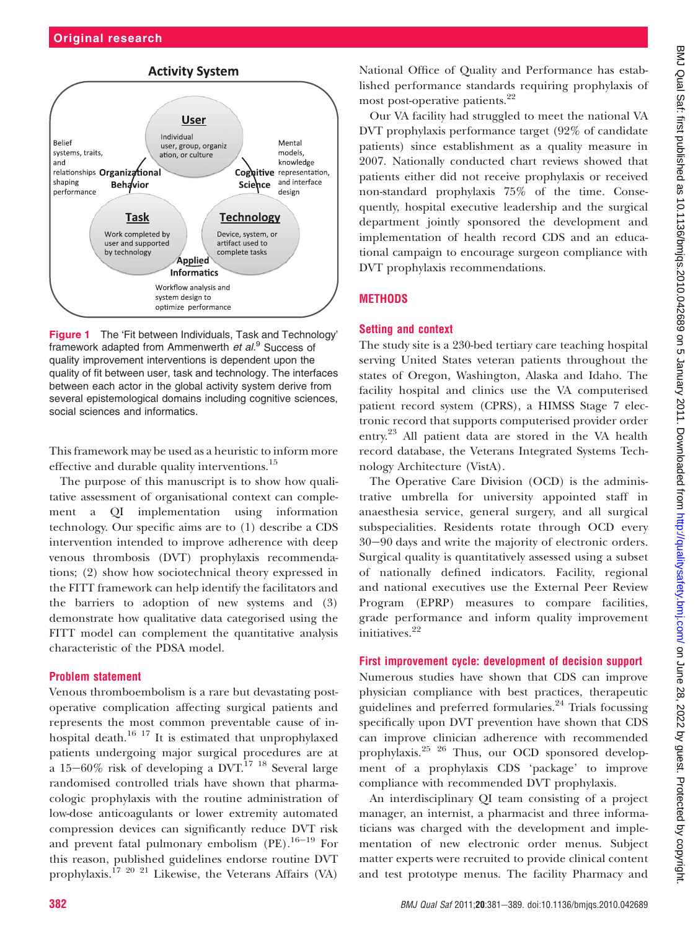

Figure 1 The 'Fit between Individuals, Task and Technology' framework adapted from Ammenwerth  $et al.<sup>9</sup>$  Success of quality improvement interventions is dependent upon the quality of fit between user, task and technology. The interfaces between each actor in the global activity system derive from several epistemological domains including cognitive sciences, social sciences and informatics.

This framework may be used as a heuristic to inform more effective and durable quality interventions.<sup>15</sup>

The purpose of this manuscript is to show how qualitative assessment of organisational context can complement a QI implementation using information technology. Our specific aims are to (1) describe a CDS intervention intended to improve adherence with deep venous thrombosis (DVT) prophylaxis recommendations; (2) show how sociotechnical theory expressed in the FITT framework can help identify the facilitators and the barriers to adoption of new systems and (3) demonstrate how qualitative data categorised using the FITT model can complement the quantitative analysis characteristic of the PDSA model.

#### Problem statement

Venous thromboembolism is a rare but devastating postoperative complication affecting surgical patients and represents the most common preventable cause of inhospital death.<sup>16</sup> <sup>17</sup> It is estimated that unprophylaxed patients undergoing major surgical procedures are at a  $15-60\%$  risk of developing a DVT.<sup>17 18</sup> Several large randomised controlled trials have shown that pharmacologic prophylaxis with the routine administration of low-dose anticoagulants or lower extremity automated compression devices can significantly reduce DVT risk and prevent fatal pulmonary embolism  $(PE).^{16-19}$  For this reason, published guidelines endorse routine DVT prophylaxis.17 20 21 Likewise, the Veterans Affairs (VA)

National Office of Quality and Performance has established performance standards requiring prophylaxis of most post-operative patients.<sup>22</sup>

Our VA facility had struggled to meet the national VA DVT prophylaxis performance target (92% of candidate patients) since establishment as a quality measure in 2007. Nationally conducted chart reviews showed that patients either did not receive prophylaxis or received non-standard prophylaxis 75% of the time. Consequently, hospital executive leadership and the surgical department jointly sponsored the development and implementation of health record CDS and an educational campaign to encourage surgeon compliance with DVT prophylaxis recommendations.

# **METHODS**

## Setting and context

The study site is a 230-bed tertiary care teaching hospital serving United States veteran patients throughout the states of Oregon, Washington, Alaska and Idaho. The facility hospital and clinics use the VA computerised patient record system (CPRS), a HIMSS Stage 7 electronic record that supports computerised provider order entry.<sup>23</sup> All patient data are stored in the VA health record database, the Veterans Integrated Systems Technology Architecture (VistA).

The Operative Care Division (OCD) is the administrative umbrella for university appointed staff in anaesthesia service, general surgery, and all surgical subspecialities. Residents rotate through OCD every 30–90 days and write the majority of electronic orders. Surgical quality is quantitatively assessed using a subset of nationally defined indicators. Facility, regional and national executives use the External Peer Review Program (EPRP) measures to compare facilities, grade performance and inform quality improvement initiatives.<sup>22</sup>

## First improvement cycle: development of decision support

Numerous studies have shown that CDS can improve physician compliance with best practices, therapeutic guidelines and preferred formularies.<sup>24</sup> Trials focussing specifically upon DVT prevention have shown that CDS can improve clinician adherence with recommended prophylaxis.25 26 Thus, our OCD sponsored development of a prophylaxis CDS 'package' to improve compliance with recommended DVT prophylaxis.

An interdisciplinary QI team consisting of a project manager, an internist, a pharmacist and three informaticians was charged with the development and implementation of new electronic order menus. Subject matter experts were recruited to provide clinical content and test prototype menus. The facility Pharmacy and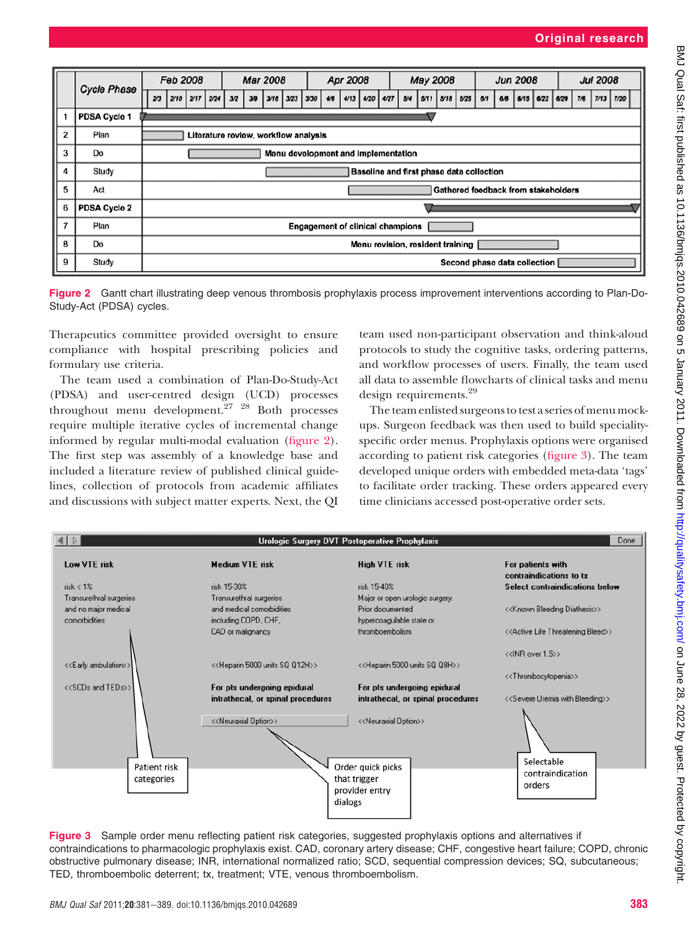|                | <b>Cycle Phase</b> | Feb 2008                             |                                          |                      | Mar 2008 |     |     |      | Apr 2008   |  |       |  | May 2008             |  |     |      | <b>Jun 2008</b> |               |     | <b>Jul 2008</b> |  |                  |  |     |           |  |
|----------------|--------------------|--------------------------------------|------------------------------------------|----------------------|----------|-----|-----|------|------------|--|-------|--|----------------------|--|-----|------|-----------------|---------------|-----|-----------------|--|------------------|--|-----|-----------|--|
|                |                    | 2/3                                  |                                          | $2/10$ $2/17$ $2/24$ |          | 3/2 | 3/9 | 3/16 | $323$ $30$ |  | $4/6$ |  | $4/13$ $4/20$ $4/27$ |  | 5/4 | 5/11 |                 | $5/18$ $5/25$ | 6/1 | $\omega$        |  | $6/15$ 6/22 6/29 |  | 7/6 | 7/13 7/20 |  |
|                | PDSA Cycle 1       |                                      |                                          |                      |          |     |     |      |            |  |       |  |                      |  |     |      |                 |               |     |                 |  |                  |  |     |           |  |
| $\overline{2}$ | Plan               | Literature review, workflow analysis |                                          |                      |          |     |     |      |            |  |       |  |                      |  |     |      |                 |               |     |                 |  |                  |  |     |           |  |
| 3              | Do                 |                                      | Monu development and implementation      |                      |          |     |     |      |            |  |       |  |                      |  |     |      |                 |               |     |                 |  |                  |  |     |           |  |
|                | Study              |                                      | Basolino and first phaso data colloction |                      |          |     |     |      |            |  |       |  |                      |  |     |      |                 |               |     |                 |  |                  |  |     |           |  |
| 5              | Act                |                                      | Gathorod foodback from stakeholders      |                      |          |     |     |      |            |  |       |  |                      |  |     |      |                 |               |     |                 |  |                  |  |     |           |  |
| 6              | PDSA Cycle 2       |                                      |                                          |                      |          |     |     |      |            |  |       |  |                      |  |     |      |                 |               |     |                 |  |                  |  |     |           |  |
|                | Plan               |                                      | <b>Engagement of clinical champions</b>  |                      |          |     |     |      |            |  |       |  |                      |  |     |      |                 |               |     |                 |  |                  |  |     |           |  |
| 8              | Do                 |                                      | Menu revision, resident training         |                      |          |     |     |      |            |  |       |  |                      |  |     |      |                 |               |     |                 |  |                  |  |     |           |  |
| 9              | Study              | Second phase data collection         |                                          |                      |          |     |     |      |            |  |       |  |                      |  |     |      |                 |               |     |                 |  |                  |  |     |           |  |



Therapeutics committee provided oversight to ensure compliance with hospital prescribing policies and formulary use criteria.

The team used a combination of Plan-Do-Study-Act (PDSA) and user-centred design (UCD) processes throughout menu development.27 <sup>28</sup> Both processes require multiple iterative cycles of incremental change informed by regular multi-modal evaluation (figure 2). The first step was assembly of a knowledge base and included a literature review of published clinical guidelines, collection of protocols from academic affiliates and discussions with subject matter experts. Next, the QI

team used non-participant observation and think-aloud protocols to study the cognitive tasks, ordering patterns, and workflow processes of users. Finally, the team used all data to assemble flowcharts of clinical tasks and menu design requirements.<sup>29</sup>

The team enlisted surgeons to test a series of menu mockups. Surgeon feedback was then used to build specialityspecific order menus. Prophylaxis options were organised according to patient risk categories (figure 3). The team developed unique orders with embedded meta-data 'tags' to facilitate order tracking. These orders appeared every time clinicians accessed post-operative order sets.



Figure 3 Sample order menu reflecting patient risk categories, suggested prophylaxis options and alternatives if contraindications to pharmacologic prophylaxis exist. CAD, coronary artery disease; CHF, congestive heart failure; COPD, chronic obstructive pulmonary disease; INR, international normalized ratio; SCD, sequential compression devices; SQ, subcutaneous; TED, thromboembolic deterrent; tx, treatment; VTE, venous thromboembolism.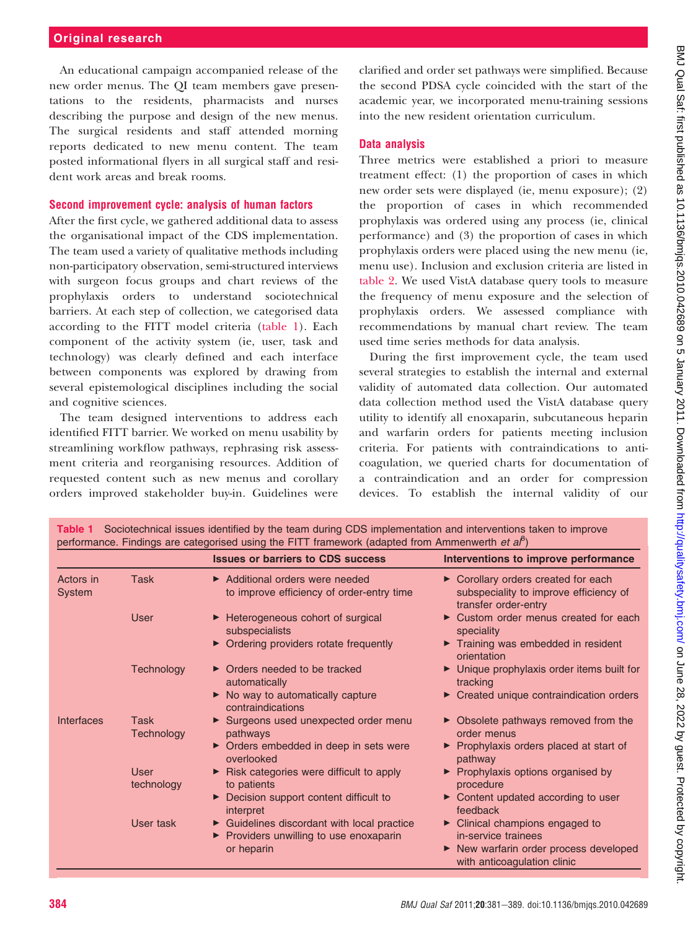# Original research

An educational campaign accompanied release of the new order menus. The QI team members gave presentations to the residents, pharmacists and nurses describing the purpose and design of the new menus. The surgical residents and staff attended morning reports dedicated to new menu content. The team posted informational flyers in all surgical staff and resident work areas and break rooms.

## Second improvement cycle: analysis of human factors

After the first cycle, we gathered additional data to assess the organisational impact of the CDS implementation. The team used a variety of qualitative methods including non-participatory observation, semi-structured interviews with surgeon focus groups and chart reviews of the prophylaxis orders to understand sociotechnical barriers. At each step of collection, we categorised data according to the FITT model criteria (table 1). Each component of the activity system (ie, user, task and technology) was clearly defined and each interface between components was explored by drawing from several epistemological disciplines including the social and cognitive sciences.

The team designed interventions to address each identified FITT barrier. We worked on menu usability by streamlining workflow pathways, rephrasing risk assessment criteria and reorganising resources. Addition of requested content such as new menus and corollary orders improved stakeholder buy-in. Guidelines were clarified and order set pathways were simplified. Because the second PDSA cycle coincided with the start of the academic year, we incorporated menu-training sessions into the new resident orientation curriculum.

# Data analysis

Three metrics were established a priori to measure treatment effect: (1) the proportion of cases in which new order sets were displayed (ie, menu exposure); (2) the proportion of cases in which recommended prophylaxis was ordered using any process (ie, clinical performance) and (3) the proportion of cases in which prophylaxis orders were placed using the new menu (ie, menu use). Inclusion and exclusion criteria are listed in table 2. We used VistA database query tools to measure the frequency of menu exposure and the selection of prophylaxis orders. We assessed compliance with recommendations by manual chart review. The team used time series methods for data analysis.

During the first improvement cycle, the team used several strategies to establish the internal and external validity of automated data collection. Our automated data collection method used the VistA database query utility to identify all enoxaparin, subcutaneous heparin and warfarin orders for patients meeting inclusion criteria. For patients with contraindications to anticoagulation, we queried charts for documentation of a contraindication and an order for compression devices. To establish the internal validity of our

| performance. Findings are categorised using the FITT framework (adapted from Ammenwerth et $a^{\beta}$ ) |                    |                                                                                        |                                                                                                     |  |  |  |  |  |  |
|----------------------------------------------------------------------------------------------------------|--------------------|----------------------------------------------------------------------------------------|-----------------------------------------------------------------------------------------------------|--|--|--|--|--|--|
|                                                                                                          |                    | Interventions to improve performance                                                   |                                                                                                     |  |  |  |  |  |  |
| Actors in<br><b>System</b>                                                                               | Task               | Additional orders were needed<br>to improve efficiency of order-entry time             | Corollary orders created for each<br>subspeciality to improve efficiency of<br>transfer order-entry |  |  |  |  |  |  |
|                                                                                                          | <b>User</b>        | Example Heterogeneous cohort of surgical<br>subspecialists                             | Custom order menus created for each<br>speciality                                                   |  |  |  |  |  |  |
|                                                                                                          |                    | • Ordering providers rotate frequently                                                 | Training was embedded in resident<br>orientation                                                    |  |  |  |  |  |  |
|                                                                                                          | Technology         | • Orders needed to be tracked<br>automatically                                         | $\triangleright$ Unique prophylaxis order items built for<br>tracking                               |  |  |  |  |  |  |
|                                                                                                          |                    | $\triangleright$ No way to automatically capture<br>contraindications                  | ► Created unique contraindication orders                                                            |  |  |  |  |  |  |
| <b>Interfaces</b>                                                                                        | Task<br>Technology | Surgeons used unexpected order menu<br>pathways                                        | • Obsolete pathways removed from the<br>order menus                                                 |  |  |  |  |  |  |
|                                                                                                          |                    | ▶ Orders embedded in deep in sets were<br>overlooked                                   | Prophylaxis orders placed at start of<br>pathway                                                    |  |  |  |  |  |  |
|                                                                                                          | User<br>technology | ► Risk categories were difficult to apply<br>to patients                               | ► Prophylaxis options organised by<br>procedure                                                     |  |  |  |  |  |  |
|                                                                                                          |                    | ► Decision support content difficult to<br>interpret                                   | ► Content updated according to user<br>feedback                                                     |  |  |  |  |  |  |
|                                                                                                          | User task          | ► Guidelines discordant with local practice<br>▶ Providers unwilling to use enoxaparin | $\triangleright$ Clinical champions engaged to<br>in-service trainees                               |  |  |  |  |  |  |
|                                                                                                          |                    | or heparin                                                                             | New warfarin order process developed<br>with anticoagulation clinic                                 |  |  |  |  |  |  |

Table 1 Sociotechnical issues identified by the team during CDS implementation and interventions taken to improve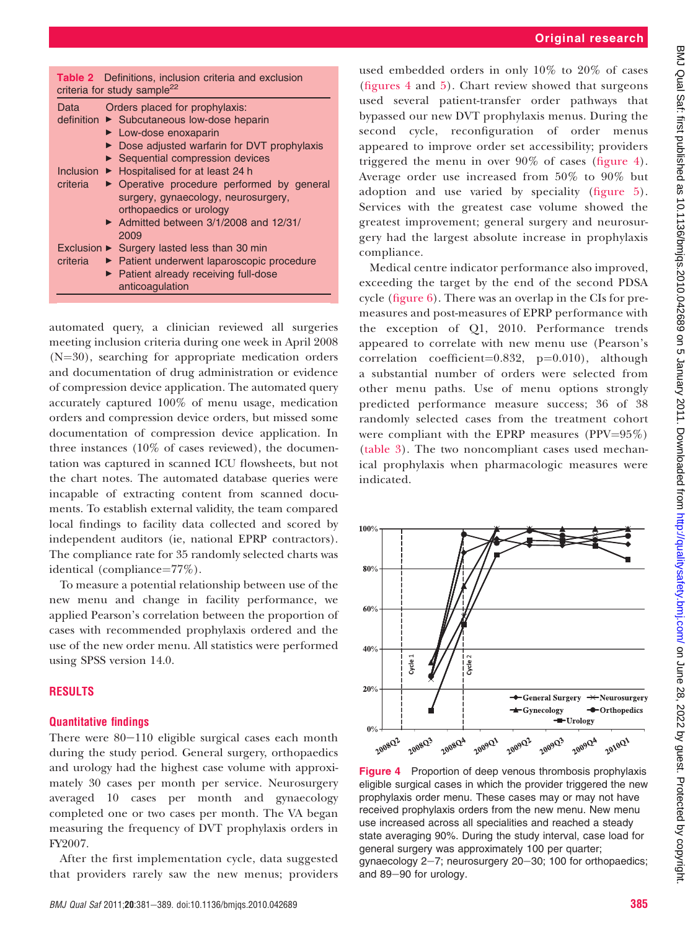| <b>Table 2</b> Definitions, inclusion criteria and exclusion<br>criteria for study sample <sup>22</sup> |                                                            |  |  |  |  |  |  |  |
|---------------------------------------------------------------------------------------------------------|------------------------------------------------------------|--|--|--|--|--|--|--|
| Data                                                                                                    | Orders placed for prophylaxis:                             |  |  |  |  |  |  |  |
|                                                                                                         | definition ► Subcutaneous low-dose heparin                 |  |  |  |  |  |  |  |
|                                                                                                         | Low-dose enoxaparin                                        |  |  |  |  |  |  |  |
|                                                                                                         | ► Dose adjusted warfarin for DVT prophylaxis               |  |  |  |  |  |  |  |
|                                                                                                         | ▶ Sequential compression devices                           |  |  |  |  |  |  |  |
|                                                                                                         | Inclusion ▶ Hospitalised for at least 24 h                 |  |  |  |  |  |  |  |
| criteria                                                                                                | ▶ Operative procedure performed by general                 |  |  |  |  |  |  |  |
|                                                                                                         | surgery, gynaecology, neurosurgery,                        |  |  |  |  |  |  |  |
|                                                                                                         | orthopaedics or urology                                    |  |  |  |  |  |  |  |
|                                                                                                         | $\blacktriangleright$ Admitted between 3/1/2008 and 12/31/ |  |  |  |  |  |  |  |
|                                                                                                         | 2009                                                       |  |  |  |  |  |  |  |
|                                                                                                         | Exclusion $\triangleright$ Surgery lasted less than 30 min |  |  |  |  |  |  |  |
| criteria                                                                                                | ► Patient underwent laparoscopic procedure                 |  |  |  |  |  |  |  |
|                                                                                                         | ► Patient already receiving full-dose                      |  |  |  |  |  |  |  |
|                                                                                                         | anticoagulation                                            |  |  |  |  |  |  |  |

automated query, a clinician reviewed all surgeries meeting inclusion criteria during one week in April 2008  $(N=30)$ , searching for appropriate medication orders and documentation of drug administration or evidence of compression device application. The automated query accurately captured 100% of menu usage, medication orders and compression device orders, but missed some documentation of compression device application. In three instances (10% of cases reviewed), the documentation was captured in scanned ICU flowsheets, but not the chart notes. The automated database queries were incapable of extracting content from scanned documents. To establish external validity, the team compared local findings to facility data collected and scored by independent auditors (ie, national EPRP contractors). The compliance rate for 35 randomly selected charts was identical (compliance= $77\%$ ).

To measure a potential relationship between use of the new menu and change in facility performance, we applied Pearson's correlation between the proportion of cases with recommended prophylaxis ordered and the use of the new order menu. All statistics were performed using SPSS version 14.0.

#### RESULTS

#### Quantitative findings

There were  $80-110$  eligible surgical cases each month during the study period. General surgery, orthopaedics and urology had the highest case volume with approximately 30 cases per month per service. Neurosurgery averaged 10 cases per month and gynaecology completed one or two cases per month. The VA began measuring the frequency of DVT prophylaxis orders in FY2007.

After the first implementation cycle, data suggested that providers rarely saw the new menus; providers

used embedded orders in only 10% to 20% of cases (figures 4 and 5). Chart review showed that surgeons used several patient-transfer order pathways that bypassed our new DVT prophylaxis menus. During the second cycle, reconfiguration of order menus appeared to improve order set accessibility; providers triggered the menu in over 90% of cases (figure 4). Average order use increased from 50% to 90% but adoption and use varied by speciality (figure 5). Services with the greatest case volume showed the greatest improvement; general surgery and neurosurgery had the largest absolute increase in prophylaxis compliance.

Medical centre indicator performance also improved, exceeding the target by the end of the second PDSA cycle (figure 6). There was an overlap in the CIs for premeasures and post-measures of EPRP performance with the exception of Q1, 2010. Performance trends appeared to correlate with new menu use (Pearson's correlation coefficient= $0.832$ , p= $0.010$ ), although a substantial number of orders were selected from other menu paths. Use of menu options strongly predicted performance measure success; 36 of 38 randomly selected cases from the treatment cohort were compliant with the EPRP measures (PPV= $95\%$ ) (table 3). The two noncompliant cases used mechanical prophylaxis when pharmacologic measures were indicated.



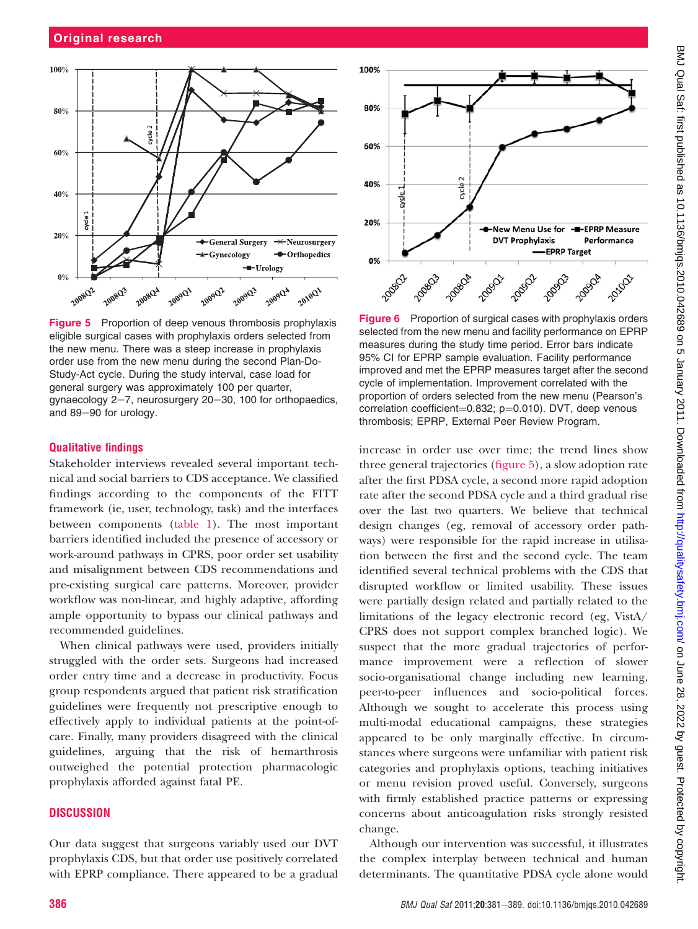

Figure 5 Proportion of deep venous thrombosis prophylaxis eligible surgical cases with prophylaxis orders selected from the new menu. There was a steep increase in prophylaxis order use from the new menu during the second Plan-Do-Study-Act cycle. During the study interval, case load for general surgery was approximately 100 per quarter, gynaecology  $2-7$ , neurosurgery  $20-30$ , 100 for orthopaedics, and 89-90 for urology.

# Qualitative findings

Stakeholder interviews revealed several important technical and social barriers to CDS acceptance. We classified findings according to the components of the FITT framework (ie, user, technology, task) and the interfaces between components (table 1). The most important barriers identified included the presence of accessory or work-around pathways in CPRS, poor order set usability and misalignment between CDS recommendations and pre-existing surgical care patterns. Moreover, provider workflow was non-linear, and highly adaptive, affording ample opportunity to bypass our clinical pathways and recommended guidelines.

When clinical pathways were used, providers initially struggled with the order sets. Surgeons had increased order entry time and a decrease in productivity. Focus group respondents argued that patient risk stratification guidelines were frequently not prescriptive enough to effectively apply to individual patients at the point-ofcare. Finally, many providers disagreed with the clinical guidelines, arguing that the risk of hemarthrosis outweighed the potential protection pharmacologic prophylaxis afforded against fatal PE.

## **DISCUSSION**

Our data suggest that surgeons variably used our DVT prophylaxis CDS, but that order use positively correlated with EPRP compliance. There appeared to be a gradual



**Figure 6** Proportion of surgical cases with prophylaxis orders selected from the new menu and facility performance on EPRP measures during the study time period. Error bars indicate 95% CI for EPRP sample evaluation. Facility performance improved and met the EPRP measures target after the second cycle of implementation. Improvement correlated with the proportion of orders selected from the new menu (Pearson's correlation coefficient=0.832;  $p=0.010$ ). DVT, deep venous thrombosis; EPRP, External Peer Review Program.

increase in order use over time; the trend lines show three general trajectories (figure 5), a slow adoption rate after the first PDSA cycle, a second more rapid adoption rate after the second PDSA cycle and a third gradual rise over the last two quarters. We believe that technical design changes (eg, removal of accessory order pathways) were responsible for the rapid increase in utilisation between the first and the second cycle. The team identified several technical problems with the CDS that disrupted workflow or limited usability. These issues were partially design related and partially related to the limitations of the legacy electronic record (eg, VistA/ CPRS does not support complex branched logic). We suspect that the more gradual trajectories of performance improvement were a reflection of slower socio-organisational change including new learning, peer-to-peer influences and socio-political forces. Although we sought to accelerate this process using multi-modal educational campaigns, these strategies appeared to be only marginally effective. In circumstances where surgeons were unfamiliar with patient risk categories and prophylaxis options, teaching initiatives or menu revision proved useful. Conversely, surgeons with firmly established practice patterns or expressing concerns about anticoagulation risks strongly resisted change.

Although our intervention was successful, it illustrates the complex interplay between technical and human determinants. The quantitative PDSA cycle alone would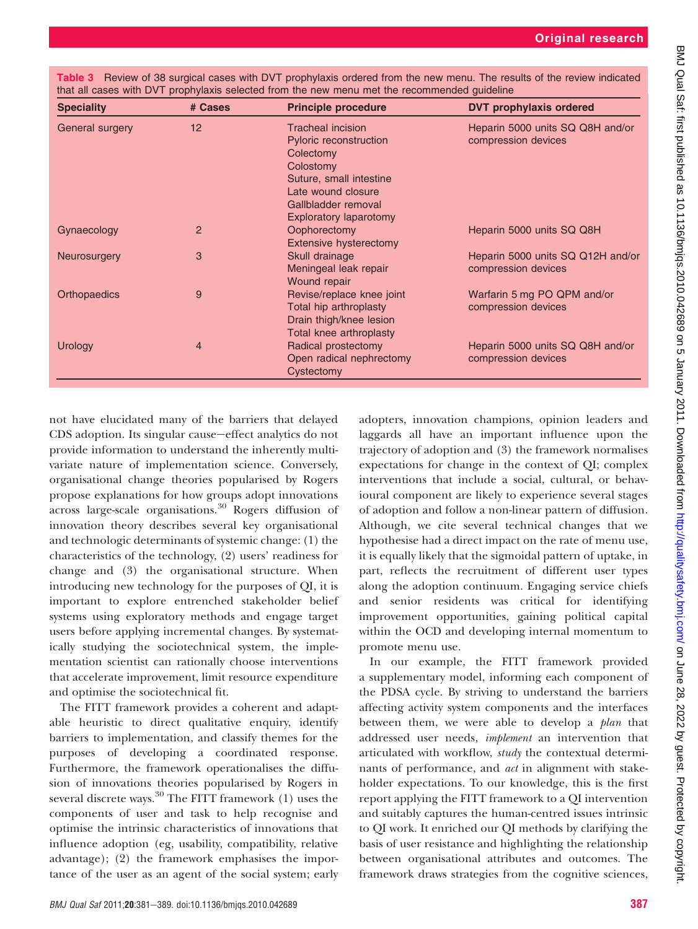| <b>Speciality</b>   | # Cases           | <b>Principle procedure</b>    | <b>DVT prophylaxis ordered</b>    |  |  |  |  |  |
|---------------------|-------------------|-------------------------------|-----------------------------------|--|--|--|--|--|
| General surgery     | $12 \overline{ }$ | <b>Tracheal incision</b>      | Heparin 5000 units SQ Q8H and/or  |  |  |  |  |  |
|                     |                   | <b>Pyloric reconstruction</b> | compression devices               |  |  |  |  |  |
|                     |                   | Colectomy                     |                                   |  |  |  |  |  |
|                     |                   | Colostomy                     |                                   |  |  |  |  |  |
|                     |                   | Suture, small intestine       |                                   |  |  |  |  |  |
|                     |                   | Late wound closure            |                                   |  |  |  |  |  |
|                     |                   | Gallbladder removal           |                                   |  |  |  |  |  |
|                     |                   | Exploratory laparotomy        |                                   |  |  |  |  |  |
| Gynaecology         | $\overline{2}$    | Oophorectomy                  | Heparin 5000 units SQ Q8H         |  |  |  |  |  |
|                     |                   | Extensive hysterectomy        |                                   |  |  |  |  |  |
| <b>Neurosurgery</b> | 3                 | Skull drainage                | Heparin 5000 units SQ Q12H and/or |  |  |  |  |  |
|                     |                   | Meningeal leak repair         | compression devices               |  |  |  |  |  |
|                     |                   | Wound repair                  |                                   |  |  |  |  |  |
| Orthopaedics        | 9                 | Revise/replace knee joint     | Warfarin 5 mg PO QPM and/or       |  |  |  |  |  |
|                     |                   | Total hip arthroplasty        | compression devices               |  |  |  |  |  |
|                     |                   | Drain thigh/knee lesion       |                                   |  |  |  |  |  |
|                     |                   | Total knee arthroplasty       |                                   |  |  |  |  |  |
| Urology             | $\overline{4}$    | Radical prostectomy           | Heparin 5000 units SQ Q8H and/or  |  |  |  |  |  |
|                     |                   | Open radical nephrectomy      | compression devices               |  |  |  |  |  |
|                     |                   | Cystectomy                    |                                   |  |  |  |  |  |

Table 3 Review of 38 surgical cases with DVT prophylaxis ordered from the new menu. The results of the review indicated that all cases with DVT prophylaxis selected from the new menu met the recommended guideline

not have elucidated many of the barriers that delayed CDS adoption. Its singular cause-effect analytics do not provide information to understand the inherently multivariate nature of implementation science. Conversely, organisational change theories popularised by Rogers propose explanations for how groups adopt innovations across large-scale organisations.<sup>30</sup> Rogers diffusion of innovation theory describes several key organisational and technologic determinants of systemic change: (1) the characteristics of the technology, (2) users' readiness for change and (3) the organisational structure. When introducing new technology for the purposes of QI, it is important to explore entrenched stakeholder belief systems using exploratory methods and engage target users before applying incremental changes. By systematically studying the sociotechnical system, the implementation scientist can rationally choose interventions that accelerate improvement, limit resource expenditure and optimise the sociotechnical fit.

The FITT framework provides a coherent and adaptable heuristic to direct qualitative enquiry, identify barriers to implementation, and classify themes for the purposes of developing a coordinated response. Furthermore, the framework operationalises the diffusion of innovations theories popularised by Rogers in several discrete ways. $30$  The FITT framework (1) uses the components of user and task to help recognise and optimise the intrinsic characteristics of innovations that influence adoption (eg, usability, compatibility, relative advantage); (2) the framework emphasises the importance of the user as an agent of the social system; early adopters, innovation champions, opinion leaders and laggards all have an important influence upon the trajectory of adoption and (3) the framework normalises expectations for change in the context of QI; complex interventions that include a social, cultural, or behavioural component are likely to experience several stages of adoption and follow a non-linear pattern of diffusion. Although, we cite several technical changes that we hypothesise had a direct impact on the rate of menu use, it is equally likely that the sigmoidal pattern of uptake, in part, reflects the recruitment of different user types along the adoption continuum. Engaging service chiefs and senior residents was critical for identifying improvement opportunities, gaining political capital within the OCD and developing internal momentum to promote menu use.

In our example, the FITT framework provided a supplementary model, informing each component of the PDSA cycle. By striving to understand the barriers affecting activity system components and the interfaces between them, we were able to develop a plan that addressed user needs, implement an intervention that articulated with workflow, study the contextual determinants of performance, and act in alignment with stakeholder expectations. To our knowledge, this is the first report applying the FITT framework to a QI intervention and suitably captures the human-centred issues intrinsic to QI work. It enriched our QI methods by clarifying the basis of user resistance and highlighting the relationship between organisational attributes and outcomes. The framework draws strategies from the cognitive sciences,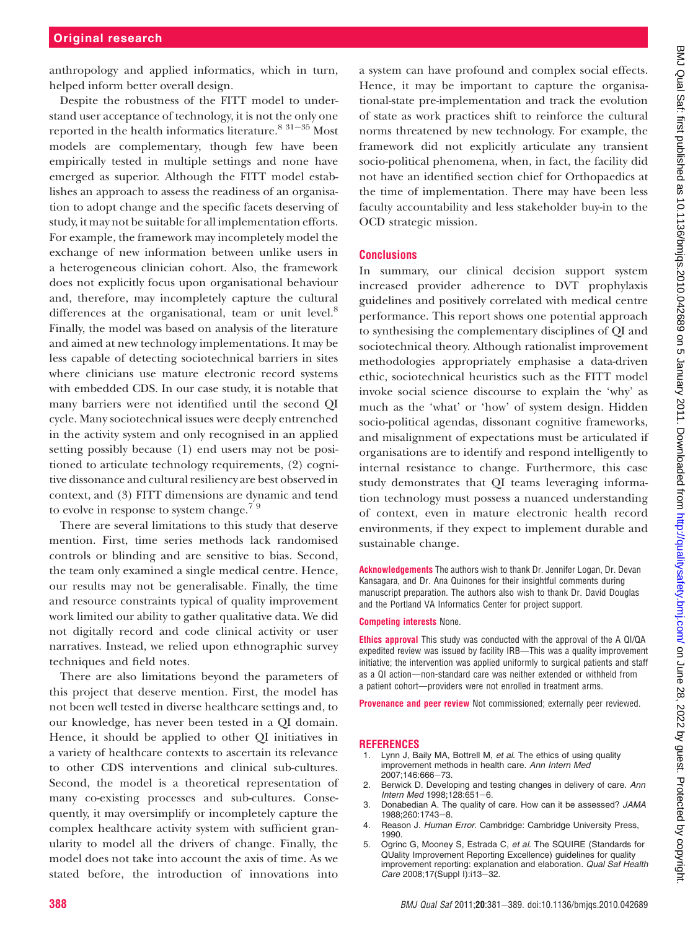anthropology and applied informatics, which in turn, helped inform better overall design.

Despite the robustness of the FITT model to understand user acceptance of technology, it is not the only one reported in the health informatics literature.<sup>8 31-35</sup> Most models are complementary, though few have been empirically tested in multiple settings and none have emerged as superior. Although the FITT model establishes an approach to assess the readiness of an organisation to adopt change and the specific facets deserving of study, it may not be suitable for all implementation efforts. For example, the framework may incompletely model the exchange of new information between unlike users in a heterogeneous clinician cohort. Also, the framework does not explicitly focus upon organisational behaviour and, therefore, may incompletely capture the cultural differences at the organisational, team or unit level.<sup>8</sup> Finally, the model was based on analysis of the literature and aimed at new technology implementations. It may be less capable of detecting sociotechnical barriers in sites where clinicians use mature electronic record systems with embedded CDS. In our case study, it is notable that many barriers were not identified until the second QI cycle. Many sociotechnical issues were deeply entrenched in the activity system and only recognised in an applied setting possibly because (1) end users may not be positioned to articulate technology requirements, (2) cognitive dissonance and cultural resiliency are best observed in context, and (3) FITT dimensions are dynamic and tend to evolve in response to system change.<sup>79</sup>

There are several limitations to this study that deserve mention. First, time series methods lack randomised controls or blinding and are sensitive to bias. Second, the team only examined a single medical centre. Hence, our results may not be generalisable. Finally, the time and resource constraints typical of quality improvement work limited our ability to gather qualitative data. We did not digitally record and code clinical activity or user narratives. Instead, we relied upon ethnographic survey techniques and field notes.

There are also limitations beyond the parameters of this project that deserve mention. First, the model has not been well tested in diverse healthcare settings and, to our knowledge, has never been tested in a QI domain. Hence, it should be applied to other QI initiatives in a variety of healthcare contexts to ascertain its relevance to other CDS interventions and clinical sub-cultures. Second, the model is a theoretical representation of many co-existing processes and sub-cultures. Consequently, it may oversimplify or incompletely capture the complex healthcare activity system with sufficient granularity to model all the drivers of change. Finally, the model does not take into account the axis of time. As we stated before, the introduction of innovations into

a system can have profound and complex social effects. Hence, it may be important to capture the organisational-state pre-implementation and track the evolution of state as work practices shift to reinforce the cultural norms threatened by new technology. For example, the framework did not explicitly articulate any transient socio-political phenomena, when, in fact, the facility did not have an identified section chief for Orthopaedics at the time of implementation. There may have been less faculty accountability and less stakeholder buy-in to the OCD strategic mission.

#### **Conclusions**

In summary, our clinical decision support system increased provider adherence to DVT prophylaxis guidelines and positively correlated with medical centre performance. This report shows one potential approach to synthesising the complementary disciplines of QI and sociotechnical theory. Although rationalist improvement methodologies appropriately emphasise a data-driven ethic, sociotechnical heuristics such as the FITT model invoke social science discourse to explain the 'why' as much as the 'what' or 'how' of system design. Hidden socio-political agendas, dissonant cognitive frameworks, and misalignment of expectations must be articulated if organisations are to identify and respond intelligently to internal resistance to change. Furthermore, this case study demonstrates that QI teams leveraging information technology must possess a nuanced understanding of context, even in mature electronic health record environments, if they expect to implement durable and sustainable change.

Acknowledgements The authors wish to thank Dr. Jennifer Logan, Dr. Devan Kansagara, and Dr. Ana Quinones for their insightful comments during manuscript preparation. The authors also wish to thank Dr. David Douglas and the Portland VA Informatics Center for project support.

Competing interests None.

Ethics approval This study was conducted with the approval of the A QI/QA expedited review was issued by facility IRB-This was a quality improvement initiative; the intervention was applied uniformly to surgical patients and staff as a QI action-non-standard care was neither extended or withheld from a patient cohort-providers were not enrolled in treatment arms.

Provenance and peer review Not commissioned; externally peer reviewed.

#### **REFERENCES**

- 1. Lynn J, Baily MA, Bottrell M, et al. The ethics of using quality improvement methods in health care. Ann Intern Med  $2007:146:666 - 73$
- 2. Berwick D. Developing and testing changes in delivery of care. Ann  $Intern$  Med 1998;128:651-6.
- 3. Donabedian A. The quality of care. How can it be assessed? JAMA 1988:260:1743-8.
- 4. Reason J. Human Error. Cambridge: Cambridge University Press, 1990.
- 5. Ogrinc G, Mooney S, Estrada C, et al. The SQUIRE (Standards for QUality Improvement Reporting Excellence) guidelines for quality improvement reporting: explanation and elaboration. Qual Saf Health Care 2008;17(Suppl I):i13-32.